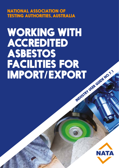NATIONAL ASSOCIATION OF TESTING AUTHORITIES, AUSTRALIA

# WORKING WITH ACCREDITED ASBESTOS FACILITIES FOR<br>IMPORT/EXPORT INDUSTRY USER GUIDE NO. 7.1

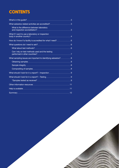# **CONTENTS**

| What asbestos related activities are accredited? <b>Mate as a set of the Strute and Strute</b> 3                                                                                                                                                                                  |   |
|-----------------------------------------------------------------------------------------------------------------------------------------------------------------------------------------------------------------------------------------------------------------------------------|---|
| What is the difference between laboratory<br>and inspection accreditation? <b>Accrement of the Contract of the Contract of the Contract of the Contract of the Contract of the Contract of the Contract of the Contract of the Contract of the Contract of the Contract of th</b> | 3 |
| What if I want to use a laboratory or inspection                                                                                                                                                                                                                                  |   |
|                                                                                                                                                                                                                                                                                   |   |
|                                                                                                                                                                                                                                                                                   |   |
| What about test methods? 6                                                                                                                                                                                                                                                        |   |
| Can I rely on test methods used and the testing<br>performed in other countries? <u>[</u> [11] performed in other countries? <u>[11] performed</u> in the countries?                                                                                                              |   |
|                                                                                                                                                                                                                                                                                   |   |
| Obtaining samples 38 million by 2011 and 2011 and 2012 and 2014 and 2014 and 2014 and 2015 and 2017 and 2017 and 2017 and 2017 and 2017 and 2017 and 2017 and 2017 and 2017 and 2017 and 2017 and 2017 and 2017 and 2017 and 2                                                    |   |
|                                                                                                                                                                                                                                                                                   |   |
| Compositing of samples 38                                                                                                                                                                                                                                                         |   |
|                                                                                                                                                                                                                                                                                   |   |
|                                                                                                                                                                                                                                                                                   |   |
|                                                                                                                                                                                                                                                                                   |   |
|                                                                                                                                                                                                                                                                                   |   |
|                                                                                                                                                                                                                                                                                   |   |
| Summary 212                                                                                                                                                                                                                                                                       |   |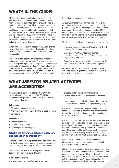# WHAT'S IN THIS GUIDE?

All Australian governments share the objective of keeping the population from harm that could result from exposure to asbestos. To this end, asbestos is no longer permitted to be used in the manufacture of any product. Similarly, asbestos is a prohibited import under the Customs (Prohibited Imports) Regulations 1956 and a prohibited export under the Customs (Prohibited Exports) Regulations 1958. The regulations do have very limited exemptions but even where an exemption may be relevant, nothing should be assumed. It is important to know exactly what these are.

Where material containing asbestos was used prior to the prohibition, there are strategies in place to minimise the likelihood of exposure and to remove as much as possible.

The reality is that despite prohibitions and measures being taken to remove asbestos from our lives, we still have a long way to go. There is a legacy of contaminated sites and manufactured product. In other parts of the world, asbestos is still used in some products. Some of Australia's trading partners have their definition of asbestos containing material (ACM) as "x% or more",

the x often being equal to 1% or higher.

As such, competently performed inspections and/ or tests are necessary to ensure that decisions about people's safety are made using only the best available information. This is where this document and NATA come into focus. The practical considerations and steps involved in having a sample of material or product tested are not always as self-evident as they might seem.

This Industry User Guide has been developed to assist:

- Importers having to meet the Customs (Prohibited Imports) Regulations 1956;
- Exporters to Australia needing evidence of compliance with the Customs (Prohibited Imports) Regulations 1956; and
- Exporters from Australia needing to ensure that their products will meet their export market requirements.

For more specific information about asbestos and asbestos related regulations, a listing of useful links may be found at the end of this guide.

### WHAT ASBESTOS RELATED ACTIVITIES ARE ACCREDITED?

NATA accredits facilities in both its ISO/IEC 17025 based laboratory program and ISO/IEC 17020 based inspection body program. The ranges of activities that can be accredited include:

### **Laboratory**

- Air monitoring and analysis
- Analysis of raw materials and manufactured products
- Soil testing

### **Inspection**

- Contaminated sites
- Clearance inspections
- Sampling and sampling plans

### **What is the difference between laboratory and inspection accreditation?**

In terms of accreditation process, the difference is very little. Both rely on a peer assessment of the competence and capability of the facility to produce reliable data.

The skill sets applicable to testing and inspection activities are, however, quite different.

A laboratory will have:

• a set of processes to safely handle samples.

- procedures to prepare them for analysis,
- validated test methods in order to undertake the analysis; and
- reporting practices that will indicate whether or not asbestos is detected in the sample(s) being analysed.

It is these processes and the personnel's scientific/ technical knowledge, experience and understanding of how they are validated and used that constitutes a major part of the NATA assessment.

Inspection bodies that deal with asbestos are primarily involved in on-site activities such as surveying a site and assessing the presence and condition of contaminated materials. Inspection body personnel need to have a sound knowledge of how asbestos has been used in the past in order to identify where it is likely to be found, in what form and what it will actually look like in situ.

Inspection outcomes can include a survey or clearance report and recommendations relating to the management of asbestos.

NATA assessments under the inspection program have a greater focus on the personnel's accumulated experience and how this is applied to a particular location or construction. For example, expertise in asbestos used in the construction industry does not translate to expertise in maritime applications and vice versa.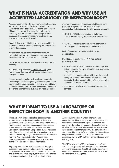### WHAT IS NATA ACCREDITATION AND WHY USE AN ACCREDITED LABORATORY OR INSPECTION BODY?

NATA is recognised by the Commonwealth of Australia as the national authority for the accreditation of laboratories and a peak authority for the accreditation of inspection bodies. It is a not-for-profit private company with the mission of facilitating a reliable testing and inspection infrastructure in the national interest and for the public good.

Accreditation is about being able to have confidence in the data and information necessary for you to make informed decisions.

Accreditation covers the activities that produce this technical/scientific data and information; testing, measurement, examinations and inspections.

In NATA's vocabulary, accreditation has a very specific meaning.

A procedure by which an authoritative body gives formal recognition that a body is competent to carry out specific tasks.

Hence, accreditation is a high level and technically focussed process of recognising collective, specific and demonstrated competencies. The core of accreditation is the third party, objective, peer assessment process at a scientific and technical level that provides assurance

of a facility's capability to produce reliable data from particular analyses or inspections. The NATA Accreditation Criteria include the international standards

- ISO/IEC 17025 General requirements for the competence of testing and calibration laboratories: and
- ISO/IEC 17020 Requirements for the operation of various types of bodies performing inspection.

Both of these standards are used globally for accreditation.

In additiong to confidence, NATA Accreditation provides you with:

- an ability to outsource to an independent, objective authority the monitoring of laboratory and inspection body performance;
- international arrangements providing for the mutual recognition of data produced by laboratories and inspection bodies accredited by NATA and equivalent accreditation bodies globally;
- a resource to resolve dispute relating to accredited services.

### WHAT IF I WANT TO USE A LABORATORY OR INSPECTION BODY IN ANOTHER COUNTRY?

There are NATA-like accreditation bodies in most economies and a significant number of these are signatories to Mutual Recognition Arrangements (MRA). For information on where these accreditation bodies are located and their MRA status, the International Laboratory Accreditation Cooperation (ILAC) maintains this information on their website at **www.ilac.org**. In the Asia Pacific region, you can also access information from the Asia Pacific Laboratory Accreditation Cooperation (APLAC) at **www.aplac.org**. Also refer to the section below for further information.

Signatory status to the MRAs is achieved through a process of peer evaluation to determine compliance with the international standard for accreditation bodies and that the processes employed to assess laboratories and inspection bodies yield equivalent outcomes.

Accreditation bodies maintain information on accredited facilities. In many – but not all cases – this information is available in English. If, however, you can't find information on accredited asbestos testing facilities via the accreditation body's website, the best option is to contact them directly. The same questions you'd be asking for a NATA accredited facility and their scope of accreditation need to be asked of one accredited by the MRA partner. This is addressed later in this guide.

The MRAs to which NATA is a signatory – ILAC and APLAC – are generally well recognised by Australian government agencies. It is still advisable, however, to check with the relevant agency about your intentions and their level of recognition.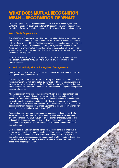### WHAT DOES MUTUAL RECOGNITION MEAN – RECOGNITION OF WHAT?

Mutual recognition is a phrase encountered in trade or trade related agreements. While the concept is relatively straightforward "I accept yours and you accept mine", the subject of what exactly is being recognised does vary and can be misunderstood.

### **World Trade Organisation**

The World Trade Organisation has addressed non-tariff trade barriers to trade – blocks that arise such as economies having standards that differ from everyone else's and/ or their refusal to accept testing/certification performed in another economy – through the Agreement on Technical Barriers to Trade (TBT Agreement). Within the TBT Agreement, the phrase 'mutual recognition' refers to the situation where parties can agree to accept goods that meet the other party's technical requirements despite any differences that might exist.

It should be noted though that this is a provision within, not an obligation of, the TBT agreement. Hence, it may not find its way into practice, even under a free trade agreement.

### **Accreditation Body Mutual Recognition Arrangements**

Internationally, many accreditation bodies including NATA have entered into Mutual Recognition Arrangements (MRA).

NATA is a signatory to the Asia Pacific Laboratory Accreditation Cooperation MRA, a regional arrangement with participation by upwards of 20 economies including all of Australia's major trading partners in the Asia Pacific region. NATA is also a signatory to the International Laboratory Accreditation Cooperation MRA, a global arrangement covering all regions.

Mutual recognition in the accreditation community refers to the accreditation bodies and their respective accreditation processes rather than technical requirements. These MRA do facilitate the acceptance of test, measurement and inspection data across borders by providing confidence that, wherever a laboratory or inspection body is located, it has been peer assessed for competence and capability to perform specific conformity assessment activities against the applicable requirements by an accreditation body that is a signatory to an MRA.

Accreditation body arrangements are sometimes recognised under Free Trade Agreements (FTA). The rules about what technical requirements are recognised in any particular economy are, however, solely the domain of the regulators and/or industry in that economy. Accreditation bodies link these technical requirements – whatever they might be – with appropriate and demonstrated competence of accredited facilities.

So in the case of Australia's zero tolerance for asbestos content in imports, it is important to be cautious around "mutual recognition". Australian authorities may well accept that a test or inspection report produced by a NATA MRA partner accredited facility is recognised as being equivalent to a NATA-endorsed report but it must provide evidence that the Australian requirements have been met, not those of the exporting economy.

5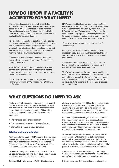### HOW DO I KNOW IF A FACILITY IS ACCREDITED FOR WHAT I NEED?

The tests and inspections for which a facility has successfully demonstrated practical competence and capability at an assessment are detailed within its Scope of Accreditation. The Scope of Accreditation contains important information such as techniques and applicable standards and codes.

To start with, scopes of accreditation for laboratories and inspection bodies are publicly available documents and the primary source of information for anyone wanting to have testing and/or inspections performed. Scopes for NATA accredited facilities are accessible from the website at **www.nata.com.au**.

If you are not sure about your needs or do not understand some aspect of the scope of accreditation, contact the facility.

A facility's accreditation may or may not cover every service that it provides so it is important to ask the correct question when seeking to have your samples tested or a site inspected.

*"Do you hold accreditation for [the specified analysis/inspection] of [the specific type of material or location]?"*

NATA Accredited facilities are able to add the NATA endorsement to reports covering accredited activities. Similar arrangements are used by many of NATA's MRA partners too. The endorsement (or use of the accreditation body logo in some cases) is not allowed to be applied to unaccredited tests or inspections. As such, a more concise specification is to state that

### *"I require all results reported to be covered by the accreditation".*

Once you have ascertained that the laboratory or inspection body is appropriately accredited, the next step is to talk to the facility to ensure clarity around your needs.

Accredited laboratories and inspection bodies will happily assist you with defining your needs but they do need some specific information first.

The following aspects of the work you are seeking to have done should be discussed and made clear before committing to any activity. Specific information gives the accredited facility clarity for determining its ability and availability to undertake the work and, of course, work out the cost.

## WHAT QUESTIONS DO I NEED TO ASK

Firstly, why are the services required? If it is for export to/from Australia, it is vital that the destination's legal requirements are known so that the appropriate tests and/or inspection can be conducted. This will help inform and clarify other details of the work to be performed:

- The standard, code or specification.
- The analyses or inspections being performed.
- Information on sampling/sub-sampling.

### **What about test methods?**

Australian Standard AS 4964 Method for the qualitative identification of asbestos in bulk samples is generally the default test method by Australian laboratories (indeed, at time of publication of this guide, all of the NATA accredited laboratories use AS 4964).

In principle though, accreditation is available for other validated methods including those developed in-house and those prescribed in other economies.

**Polarised light microscopy (PLM) with dispersion** 

**staining** is required by AS 4964 as the principal method. It involves the identification of asbestos fibres by examining prepared samples using a conventional microscope but under polarised light. This method is the standardised reference method in most countries.

PLM with dispersion staining can be used to identify the three common (commercial) asbestos types (Chrysotile, Crocidolite and Amosite). The method does have limitations in identifying the other types of asbestos and if suspected of being present, requires them to be reported as "Mineral fibres of unknown type".

What does make AS 4964 different is that as well as conventional PLM examination, it also invokes an additional process entitled "trace analysis" which is conducted by placing a small sub-sample on a slide with a refractive index liquid and observing it under high power to detect any discrete fibres or fibre bundles.

AS 4964 allows for a limit of reporting in the range 0.01-0.1%, depending on whether the asbestos fibres are uniformly spread through the sample or not.

In instances where the results of an analysis are the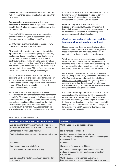identification of "mineral fibres of unknown type". AS 4964 recommends further investigation using another technique.

**Scanning electron microscopy with energy dispersive X-ray (SEM-EDX)** is typically the technique sought. Table 1 offers a comparison of features of the two techniques.

Clearly SEM-EDX has the major advantage of being able to detect all six types of asbestos and smaller fibres not able to be identified under PLM.

So if SEM can identify more types of asbestos, why not use it as the default test method?

SEM has the disadvantage of being costly and slow. Apart from the capital cost of acquiring an SEM unit, the fact that it uses much higher magnifications and can achieve better resolution than PLM is also a contributor to the cost. The area of a sample that can be observed at any one time using SEM is a fraction of that which can be seen using PLM. This means that it takes multiple views using SEM to "see" the same area of sample as you can in a single view using PLM.

From NATA's accreditation perspective, the other concerns are the lack of a standardised methodology and an absence of proficiency testing (formal interlaboratory comparison programs) for SEM. This makes it more difficult to achieve confidence in the interlaboratory consistency of results.

At the time this quide was prepared, there were no NATA accredited laboratories for asbestos identification using SEM. This is not to say that NATA won't accredit laboratories from using SEM but any laboratory seeking accreditation would need to demonstrate that their results are comparable with those of other similar laboratories. It's simply that NATA accreditation for any test is driven by a combination of customer need

for a particular service to be accredited vs the cost of having the required processes in place to achieve accreditation. If this need reaches a threshold, accreditation for SEM analysis will happen.

**Other techniques** which include Transmission Electron Microscopy (TEM), X-ray diffraction and infrared absorption are used in some applications but all have inherent limitations in terms of expense, application and/or limits of detection.

### **Can I rely on test methods used and the testing performed in other countries?**

Remembering that there are accreditation systems similar to NATA in most of Australia's trading partners, these systems can give some assurance over the competence of those providing the services you need.

What you do need to check on is the method(s) for which the laboratory is accredited, especially with regard to limits of detection and limits of reporting. The methods used by a laboratory in any particular location will usually reflect the expectations of the local market.

For example, if you look at the information available on the US Occupational Safety and Health Administration (OSHA) website (**www.osha.gov**), the definition of asbestos-containing material (ACM) is "any material containing more than 1% asbestos". By inference, materials containing 1% or less asbestos are considered acceptable in an occupational context.

If you wish to have a product or material for import to Australia tested for asbestos, it will be necessary to ensure that the laboratory knows of Australia's zero tolerance and that they need to employ a method with the best limit of detection and limit of reporting available. Having the product tested and deemed to comply with, for example, the OSHA requirements may not help you to import to Australia.

| PLM with dispersive staining and trace analysis                                                            | <b>SEM with EDX</b>                                                                                                       |
|------------------------------------------------------------------------------------------------------------|---------------------------------------------------------------------------------------------------------------------------|
| Can be used for the three common asbestos types<br>(other types reported as mineral fibre of unknown type) | Can be used for all six asbestos types                                                                                    |
| Standardised method used worldwide                                                                         | Not a standardised method                                                                                                 |
| Rapid – Analysis takes between 15 minutes and 1-hour                                                       | Can be time consuming – especially for<br>non-homogeneous samples with very low concentration<br>of asbestos fibres       |
| Inexpensive                                                                                                | Expensive                                                                                                                 |
| Can resolve fibres down to 0.5µm                                                                           | Can resolve fibres down to 0.05µm                                                                                         |
| LOD between 0.01 and 0.1% (AS 4964)                                                                        | $LOD < 1\%$ – may be higher than PLM as only small<br>portions of the sample can be observed under high<br>magnification. |
| Can be subject to interferences (many eliminated by<br>pre-treatment)                                      | Can be subject to interferences and errors in<br>interpretation e.g. due to non-standard elemental ratios.                |

### *Table 1 – Comparison of PLM vs SEM*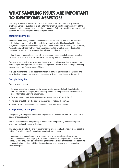### WHAT SAMPLING ISSUES ARE IMPORTANT TO IDENTIFYING ASBESTOS?

Sampling is a core scientific/technical activity that is as important as any laboratory analyses. Samples supplied to a laboratory for analysis must be representative of the material, product, construction or soil being sampled. Failure to provide truly representative samples will waste everyone's time and your money.

### **Obtaining samples**

There are many safety concerns to consider as well as making sure that the samples collected are representative of the material, product or site. It is also critical that the integrity of samples is maintained. If you are not in the business of dealing with asbestos, NATA strongly advises that you have samples collected by either licenced asbestos clearance personnel or by an accredited laboratory or inspection body.

If there is some compelling reason why an untrained person needs to collect samples, professional advice on how to collect samples safety needs to be sought out.

Remember too that it is not just about the samples but also where they are taken from. For example, it is important to secure the sample site – which is now damaged by taking the sample – from future release of fibres.

It is also important to ensure decontamination of sampling devices after each use and sampling in a manner that ensures non-release of fibres during the sampling activity.

### **Sample integrity**

Some simple pointers:

- Samples should be in sealed containers or plastic bags and clearly labelled with identification of the sampler, from precisely where the samples were obtained and any other information useful to a laboratory.
- Samples have to be fully labelled with something that won't wash/fall off.
- The label should be on the body of the container, not just the lid/cap.
- Care must be taken to avoid any possibility of cross-contamination.

### **Compositing of samples**

Compositing of samples (mixing them together) is sometimes allowed for by standards, codes or specifications.

The obvious benefit of compositing is that multiple samples may be tested together which may reduce the cost of the test.

The downside is that if the analysis identifies the presence of asbestos, it is not possible to identify in which specific sample or samples it was present.

If compositing is agreed upon, it is important to provide clear instructions to the laboratory whether sub-sampling is permitted and how the samples are to be tested. Particular care should be paid to ensuring the sample volume or mass tested is adequate. If you are in doubt, this should be discussed with the laboratory or an independent technical expert.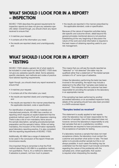### WHAT SHOULD I LOOK FOR IN A REPORT? – INSPECTION

ISO/IEC 17020 describes the general requirements for inspection reports but does not give any asbestos specific detail. Overall though, you should check any report received to ensure that:

- it matches your request;
- it contains all of the information you need;
- the results are reported clearly and unambiguously; and
- the results are reported in the manner prescribed by the applicable standard, code or specification.

Because of the nature of inspection activities being site-specific and outcome-driven, detail beyond the general principles mentioned above is not practical. Establishing at the very beginning of discussion the nature of the work and what information is required is the best means of obtaining reporting useful to your risk management.

### WHAT SHOULD I LOOK FOR IN A REPORT? – TESTING

ISO/IEC 17025 details a generic list of what needs to be included in a test report but like ISO/IEC 17020 does not give any asbestos specific detail. Some asbestos specific standards, test methods and codes of practice have tailored reporting requirements.

Again though, you should check any report received to ensure that:

- it matches your request;
- it contains all of the information you need;
- the results are reported clearly and unambiguously; and
- the results are reported in the manner prescribed by the applicable standard, code or specification.

For identification of asbestos in raw materials and manufactured products, AS 4964 has a section on reporting which requires an explicit statement that the analytical method used is PLM with dispersion staining. There is also a list of non-mandatory items around the sample description, sampling procedures/sample preparation and the sample's history. While not being mandatory, the inclusion of this information represents good laboratory reporting practice. It is also consistent with the reporting requirements of ISO/IEC 17025.

Additionally, AS 4964 has a range of statements to be used in the conclusion of the report if there are inconclusive results.

One important thing to remember is that the PLM method described in AS 4964 is a qualitative method, not quantitative. That is, it's a method to determine if asbestos is present, not how much is present.

This means that you will see the results reported as "detected" or "not detected" (the latter may be qualified) rather than a statement of "the tested sample contains x% of" some type of asbestos.

Unless the laboratory performing the tests has been involved in the sampling, the report may include a statement to the effect that "samples were tested as received". This indicates that the customer has been responsible for providing the samples to the laboratory in an appropriate manner.

If the sampling has been performed by another accredited laboratory or an accredited inspection body, details of the sampling should have also been provided in a NATA-endorsed report.

### **"Samples tested as received"**

This statement is usually applied to test reports when the laboratory has not been responsible for the collection of samples. Use of this statement does not, however, remove the laboratory's responsibility to only test samples that are in a satisfactory condition. Laboratories are required to have procedures covering the acceptance of samples for testing.

If a laboratory receives a sample that does not meet acceptance criteria, the laboratory must contact the customer and ascertain what action to take. The best option is to provide another sample but this is not always possible. In such cases the testing may be undertaken but the test report must include comments regarding the nature of the problem(s) with the sample(s) and, where applicable, that caution is required when interpreting the result(s).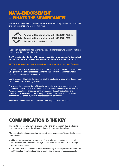### NATA-ENDORSEMENT – WHAT'S THE SIGNIFICANCE?

The NATA endorsement consists of the NATA logo, the facility's accreditation number and text presented similar to the following.



**Accredited for compliance with ISO/IEC 17025 or Accredited for compliance with ISO/IEC 17020 Accreditation number xxxxx**

In addition, the following statements may be added for those who need international recognition of the reported results:

**NATA is a signatory to the ILAC mutual recognition arrangement for the mutual recognition of the equivalence of testing, calibration and inspection reports**

### **NATA endorsed vs unendorsed reports – What's the cost/benefit?**

NATA requires that all activities described in the scope of accreditation are performed using exactly the same processes and to the same level of confidence whether reported on an endorsed report or not.

Same accredited facilities do, however, apply a surcharge to issue an endorsed report for commercial or marketing reasons.

For you as the customer, the NATA-endorsement is there to provide prima facie evidence that the results within the report have been issued under the laboratory's NATA Accreditation. Hence, you can have the confidence that the tests and/ or inspections have been undertaken by competent staff using sound science/ engineering as verified by NATA's peer assessment processes.

Similarity for businesses, your own customers may share this confidence.

### COMMUNICATION IS THE KEY

The key to successfully gaining reliable testing and/or inspection data is effective communication between the laboratory/inspection body and the client.

Mutual understanding doesn't just happen, it must be pursued. Two particular points to remember:

- Initial clarity surrounding the purpose of the testing or inspection services will aid all subsequent discussions and greatly improve the likelihood of obtaining the appropriate services;
- Communication shouldn't be a once-off event if you have questions received the test/inspection report and something seems odd or doesn't make sense, ask.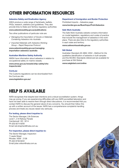# OTHER INFORMATION RESOURCES

### **Asbestos Safety and Eradication Agency**

ASEA produce a wide range of factsheets, leaflets, FAQs, research, statistics and guidelines. They also provide links to State and Territory regulatory authorities

#### **www.asbestossafety.gov.au/publications**

Two other publications of particular note are:

- 3 *Managing the Importation of Goods or Materials Containing Asbestos into Australia*
- 3 *Imported Materials with Asbestos Working Group – Rapid Response Protocol*

**www.asbestossafety.gov.au/managingimportation-asbestos-australia**

#### **Australian Maritime Safety Authority**

AMSA have information about asbestos in relation to occupational safety on marine vessels.

**www.amsa.gov.au/vessels/ship-safety/ohsinspectorate/**

#### **ComLaw**

The Customs regulations can be downloaded from the ComLaw site **www.legislation.gov.au/**

#### **Department of Immigration and Border Protection**

Prohibited Imports – Asbestos page: **www.border.gov.au/Busi/Impo/Proh/Asbestos**

#### **Safe Work Australia**

The Safe Work Australia website contains information on model legislation, regulations and codes of practice that include the management of asbestos in the workplace. There are also links to the regulatory authorities in each state and territory.

#### **www.safeworkaustralia.gov.au**

#### **SAI Global**

Australian Standard *AS 4964: 2004 – Method for the qualitative identification of asbestos in bulk samples* and the ISO/IEC Standards referenced are available for purchase at SAI Global

**www.saiglobal.com/online**

### HELP IS AVAILABLE

NATA recognises that despite best intentions and a robust accreditation system, things may go wrong. If you are experiencing difficulties with any NATA accredited laboratory and have not been able to resolve them through direct discussions, it is recommended that you contact NATA to discuss the general nature of any concerns. You should then follow this up with a written account of the issues. NATA has a comprehensive complaints handling process and treats any issues raised very seriously.

#### **For testing, please direct inquiries to:**

The Sector Manager, Life Sciences Level 1, 2-6 Railway Parade Camberwell VIC 3214 Ph (03) 9274 8200 Email neil.shepherd@nata.com.au

#### **For inspection, please direct inquiries to:**

The Sector Manager, Inspection 7 Leeds Street Rhodes NSW 2138 Ph (02) 9736 8222 Email julian.wilson@nata.com.au